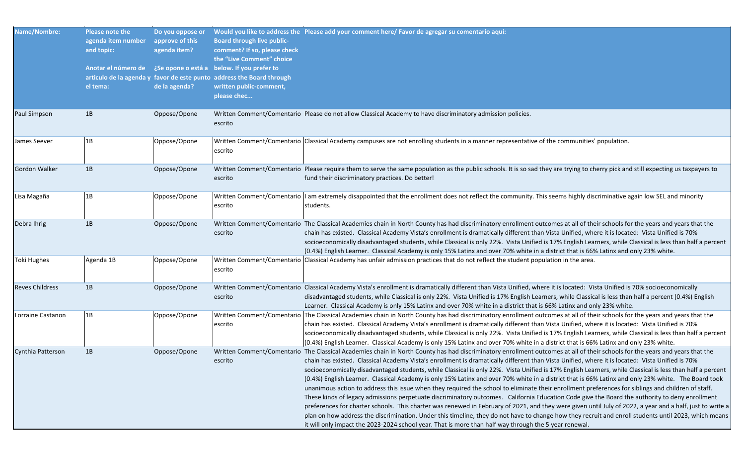| <b>Name/Nombre:</b>    | Please note the<br>agenda item number<br>and topic:<br>Anotar el número de | Do you oppose or<br>approve of this<br>agenda item? | <b>Board through live public-</b><br>comment? If so, please check<br>the "Live Comment" choice<br>¿Se opone o está a below. If you prefer to | Would you like to address the Please add your comment here/ Favor de agregar su comentario aquí:                                                                                                                                                                                                                                                                                                                                                                                                                                                                                                                                                                                                                                                                                                                                                                                                                                                                                                                                                                                                                                                                                                                                                                                                                                                                                          |
|------------------------|----------------------------------------------------------------------------|-----------------------------------------------------|----------------------------------------------------------------------------------------------------------------------------------------------|-------------------------------------------------------------------------------------------------------------------------------------------------------------------------------------------------------------------------------------------------------------------------------------------------------------------------------------------------------------------------------------------------------------------------------------------------------------------------------------------------------------------------------------------------------------------------------------------------------------------------------------------------------------------------------------------------------------------------------------------------------------------------------------------------------------------------------------------------------------------------------------------------------------------------------------------------------------------------------------------------------------------------------------------------------------------------------------------------------------------------------------------------------------------------------------------------------------------------------------------------------------------------------------------------------------------------------------------------------------------------------------------|
|                        | articulo de la agenda y<br>el tema:                                        | de la agenda?                                       | favor de este punto address the Board through<br>written public-comment,<br>please chec                                                      |                                                                                                                                                                                                                                                                                                                                                                                                                                                                                                                                                                                                                                                                                                                                                                                                                                                                                                                                                                                                                                                                                                                                                                                                                                                                                                                                                                                           |
| Paul Simpson           | 1B                                                                         | Oppose/Opone                                        | escrito                                                                                                                                      | Written Comment/Comentario Please do not allow Classical Academy to have discriminatory admission policies.                                                                                                                                                                                                                                                                                                                                                                                                                                                                                                                                                                                                                                                                                                                                                                                                                                                                                                                                                                                                                                                                                                                                                                                                                                                                               |
| James Seever           | 1B                                                                         | Oppose/Opone                                        | escrito                                                                                                                                      | Written Comment/Comentario Classical Academy campuses are not enrolling students in a manner representative of the communities' population.                                                                                                                                                                                                                                                                                                                                                                                                                                                                                                                                                                                                                                                                                                                                                                                                                                                                                                                                                                                                                                                                                                                                                                                                                                               |
| <b>Gordon Walker</b>   | 1B                                                                         | Oppose/Opone                                        | escrito                                                                                                                                      | Written Comment/Comentario Please require them to serve the same population as the public schools. It is so sad they are trying to cherry pick and still expecting us taxpayers to<br>fund their discriminatory practices. Do better!                                                                                                                                                                                                                                                                                                                                                                                                                                                                                                                                                                                                                                                                                                                                                                                                                                                                                                                                                                                                                                                                                                                                                     |
| Lisa Magaña            | 1B                                                                         | Oppose/Opone                                        | escrito                                                                                                                                      | Written Comment/Comentario  I am extremely disappointed that the enrollment does not reflect the community. This seems highly discriminative again low SEL and minority<br>students.                                                                                                                                                                                                                                                                                                                                                                                                                                                                                                                                                                                                                                                                                                                                                                                                                                                                                                                                                                                                                                                                                                                                                                                                      |
| Debra Ihrig            | 1B                                                                         | Oppose/Opone                                        | escrito                                                                                                                                      | Written Comment/Comentario The Classical Academies chain in North County has had discriminatory enrollment outcomes at all of their schools for the years and years that the<br>chain has existed. Classical Academy Vista's enrollment is dramatically different than Vista Unified, where it is located: Vista Unified is 70%<br>socioeconomically disadvantaged students, while Classical is only 22%. Vista Unified is 17% English Learners, while Classical is less than half a percent<br>(0.4%) English Learner. Classical Academy is only 15% Latinx and over 70% white in a district that is 66% Latinx and only 23% white.                                                                                                                                                                                                                                                                                                                                                                                                                                                                                                                                                                                                                                                                                                                                                      |
| <b>Toki Hughes</b>     | Agenda 1B                                                                  | Oppose/Opone                                        | escrito                                                                                                                                      | Written Comment/Comentario Classical Academy has unfair admission practices that do not reflect the student population in the area.                                                                                                                                                                                                                                                                                                                                                                                                                                                                                                                                                                                                                                                                                                                                                                                                                                                                                                                                                                                                                                                                                                                                                                                                                                                       |
| <b>Reves Childress</b> | 1B                                                                         | Oppose/Opone                                        | escrito                                                                                                                                      | Written Comment/Comentario Classical Academy Vista's enrollment is dramatically different than Vista Unified, where it is located: Vista Unified is 70% socioeconomically<br>disadvantaged students, while Classical is only 22%. Vista Unified is 17% English Learners, while Classical is less than half a percent (0.4%) English<br>Learner. Classical Academy is only 15% Latinx and over 70% white in a district that is 66% Latinx and only 23% white.                                                                                                                                                                                                                                                                                                                                                                                                                                                                                                                                                                                                                                                                                                                                                                                                                                                                                                                              |
| Lorraine Castanon      | 1B                                                                         | Oppose/Opone                                        | escrito                                                                                                                                      | Written Comment/Comentario The Classical Academies chain in North County has had discriminatory enrollment outcomes at all of their schools for the years and years that the<br>chain has existed. Classical Academy Vista's enrollment is dramatically different than Vista Unified, where it is located: Vista Unified is 70%<br>socioeconomically disadvantaged students, while Classical is only 22%. Vista Unified is 17% English Learners, while Classical is less than half a percent<br>(0.4%) English Learner. Classical Academy is only 15% Latinx and over 70% white in a district that is 66% Latinx and only 23% white.                                                                                                                                                                                                                                                                                                                                                                                                                                                                                                                                                                                                                                                                                                                                                      |
| Cynthia Patterson      | 1B                                                                         | Oppose/Opone                                        | escrito                                                                                                                                      | Written Comment/Comentario The Classical Academies chain in North County has had discriminatory enrollment outcomes at all of their schools for the years and years that the<br>chain has existed. Classical Academy Vista's enrollment is dramatically different than Vista Unified, where it is located: Vista Unified is 70%<br>socioeconomically disadvantaged students, while Classical is only 22%. Vista Unified is 17% English Learners, while Classical is less than half a percent<br>(0.4%) English Learner. Classical Academy is only 15% Latinx and over 70% white in a district that is 66% Latinx and only 23% white. The Board took<br>unanimous action to address this issue when they required the school to eliminate their enrollment preferences for siblings and children of staff.<br>These kinds of legacy admissions perpetuate discriminatory outcomes. California Education Code give the Board the authority to deny enrollment<br>preferences for charter schools. This charter was renewed in February of 2021, and they were given until July of 2022, a year and a half, just to write a<br>plan on how address the discrimination. Under this timeline, they do not have to change how they recruit and enroll students until 2023, which means<br>it will only impact the 2023-2024 school year. That is more than half way through the 5 year renewal. |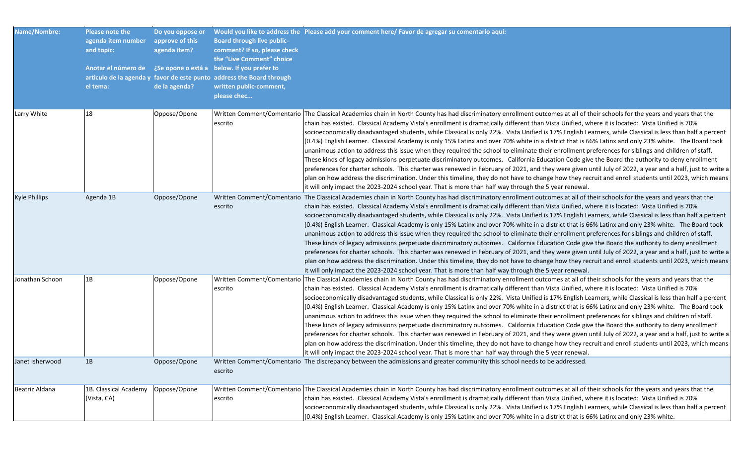| <b>Name/Nombre:</b>  | Please note the<br>agenda item number<br>and topic:<br>Anotar el número de ¿Se opone o está a below. If you prefer to<br>el tema: | Do you oppose or<br>approve of this<br>agenda item?<br>de la agenda? | <b>Board through live public-</b><br>comment? If so, please check<br>the "Live Comment" choice<br>articulo de la agenda y favor de este punto address the Board through<br>written public-comment,<br>please chec | Would you like to address the Please add your comment here/ Favor de agregar su comentario aquí:                                                                                                                                                                                                                                                                                                                                                                                                                                                                                                                                                                                                                                                                                                                                                                                                                                                                                                                                                                                                                                                                                                                                                                                                                                                                                          |
|----------------------|-----------------------------------------------------------------------------------------------------------------------------------|----------------------------------------------------------------------|-------------------------------------------------------------------------------------------------------------------------------------------------------------------------------------------------------------------|-------------------------------------------------------------------------------------------------------------------------------------------------------------------------------------------------------------------------------------------------------------------------------------------------------------------------------------------------------------------------------------------------------------------------------------------------------------------------------------------------------------------------------------------------------------------------------------------------------------------------------------------------------------------------------------------------------------------------------------------------------------------------------------------------------------------------------------------------------------------------------------------------------------------------------------------------------------------------------------------------------------------------------------------------------------------------------------------------------------------------------------------------------------------------------------------------------------------------------------------------------------------------------------------------------------------------------------------------------------------------------------------|
| Larry White          | 18                                                                                                                                | Oppose/Opone                                                         | escrito                                                                                                                                                                                                           | Written Comment/Comentario The Classical Academies chain in North County has had discriminatory enrollment outcomes at all of their schools for the years and years that the<br>chain has existed. Classical Academy Vista's enrollment is dramatically different than Vista Unified, where it is located: Vista Unified is 70%<br>socioeconomically disadvantaged students, while Classical is only 22%. Vista Unified is 17% English Learners, while Classical is less than half a percent<br>(0.4%) English Learner. Classical Academy is only 15% Latinx and over 70% white in a district that is 66% Latinx and only 23% white. The Board took<br>unanimous action to address this issue when they required the school to eliminate their enrollment preferences for siblings and children of staff.<br>These kinds of legacy admissions perpetuate discriminatory outcomes. California Education Code give the Board the authority to deny enrollment<br>preferences for charter schools. This charter was renewed in February of 2021, and they were given until July of 2022, a year and a half, just to write a<br>plan on how address the discrimination. Under this timeline, they do not have to change how they recruit and enroll students until 2023, which means<br>it will only impact the 2023-2024 school year. That is more than half way through the 5 year renewal. |
| <b>Kyle Phillips</b> | Agenda 1B                                                                                                                         | Oppose/Opone                                                         | escrito                                                                                                                                                                                                           | Written Comment/Comentario The Classical Academies chain in North County has had discriminatory enrollment outcomes at all of their schools for the years and years that the<br>chain has existed. Classical Academy Vista's enrollment is dramatically different than Vista Unified, where it is located: Vista Unified is 70%<br>socioeconomically disadvantaged students, while Classical is only 22%. Vista Unified is 17% English Learners, while Classical is less than half a percent<br>(0.4%) English Learner. Classical Academy is only 15% Latinx and over 70% white in a district that is 66% Latinx and only 23% white. The Board took<br>unanimous action to address this issue when they required the school to eliminate their enrollment preferences for siblings and children of staff.<br>These kinds of legacy admissions perpetuate discriminatory outcomes. California Education Code give the Board the authority to deny enrollment<br>preferences for charter schools. This charter was renewed in February of 2021, and they were given until July of 2022, a year and a half, just to write a<br>plan on how address the discrimination. Under this timeline, they do not have to change how they recruit and enroll students until 2023, which means<br>it will only impact the 2023-2024 school year. That is more than half way through the 5 year renewal. |
| Jonathan Schoon      | 1B                                                                                                                                | Oppose/Opone                                                         | escrito                                                                                                                                                                                                           | Written Comment/Comentario The Classical Academies chain in North County has had discriminatory enrollment outcomes at all of their schools for the years and years that the<br>chain has existed. Classical Academy Vista's enrollment is dramatically different than Vista Unified, where it is located: Vista Unified is 70%<br>socioeconomically disadvantaged students, while Classical is only 22%. Vista Unified is 17% English Learners, while Classical is less than half a percent<br>(0.4%) English Learner. Classical Academy is only 15% Latinx and over 70% white in a district that is 66% Latinx and only 23% white. The Board took<br>unanimous action to address this issue when they required the school to eliminate their enrollment preferences for siblings and children of staff.<br>These kinds of legacy admissions perpetuate discriminatory outcomes. California Education Code give the Board the authority to deny enrollment<br>preferences for charter schools. This charter was renewed in February of 2021, and they were given until July of 2022, a year and a half, just to write a<br>plan on how address the discrimination. Under this timeline, they do not have to change how they recruit and enroll students until 2023, which means<br>it will only impact the 2023-2024 school year. That is more than half way through the 5 year renewal. |
| Janet Isherwood      | 1B                                                                                                                                | Oppose/Opone                                                         | escrito                                                                                                                                                                                                           | Written Comment/Comentario The discrepancy between the admissions and greater community this school needs to be addressed.                                                                                                                                                                                                                                                                                                                                                                                                                                                                                                                                                                                                                                                                                                                                                                                                                                                                                                                                                                                                                                                                                                                                                                                                                                                                |
| Beatriz Aldana       | 1B. Classical Academy<br>(Vista, CA)                                                                                              | Oppose/Opone                                                         | escrito                                                                                                                                                                                                           | Written Comment/Comentario The Classical Academies chain in North County has had discriminatory enrollment outcomes at all of their schools for the years and years that the<br>chain has existed. Classical Academy Vista's enrollment is dramatically different than Vista Unified, where it is located: Vista Unified is 70%<br>socioeconomically disadvantaged students, while Classical is only 22%. Vista Unified is 17% English Learners, while Classical is less than half a percent<br>(0.4%) English Learner. Classical Academy is only 15% Latinx and over 70% white in a district that is 66% Latinx and only 23% white.                                                                                                                                                                                                                                                                                                                                                                                                                                                                                                                                                                                                                                                                                                                                                      |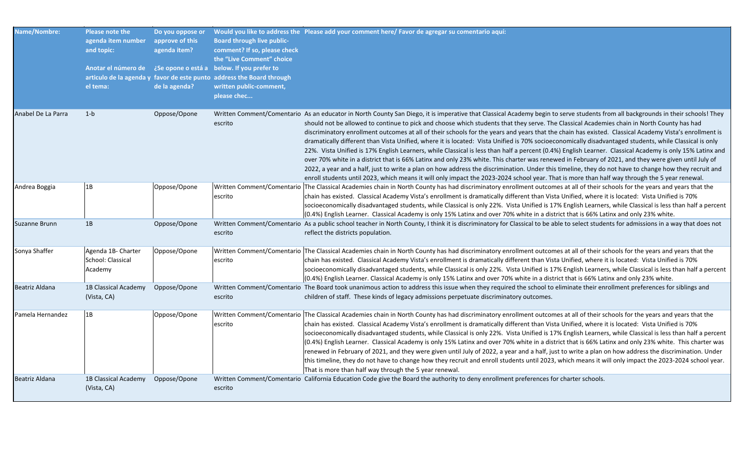| <b>Name/Nombre:</b> | Please note the<br>agenda item number<br>and topic:<br>Anotar el número de<br>el tema: | Do you oppose or<br>approve of this<br>agenda item?<br>de la agenda? | <b>Board through live public-</b><br>comment? If so, please check<br>the "Live Comment" choice<br>¿Se opone o está a below. If you prefer to<br>articulo de la agenda y favor de este punto address the Board through<br>written public-comment,<br>please chec | Would you like to address the Please add your comment here/ Favor de agregar su comentario aquí:                                                                                                                                                                                                                                                                                                                                                                                                                                                                                                                                                                                                                                                                                                                                                                                                                                                                                                                                                                                                                                                                                                                                                                                |
|---------------------|----------------------------------------------------------------------------------------|----------------------------------------------------------------------|-----------------------------------------------------------------------------------------------------------------------------------------------------------------------------------------------------------------------------------------------------------------|---------------------------------------------------------------------------------------------------------------------------------------------------------------------------------------------------------------------------------------------------------------------------------------------------------------------------------------------------------------------------------------------------------------------------------------------------------------------------------------------------------------------------------------------------------------------------------------------------------------------------------------------------------------------------------------------------------------------------------------------------------------------------------------------------------------------------------------------------------------------------------------------------------------------------------------------------------------------------------------------------------------------------------------------------------------------------------------------------------------------------------------------------------------------------------------------------------------------------------------------------------------------------------|
|                     |                                                                                        |                                                                      |                                                                                                                                                                                                                                                                 |                                                                                                                                                                                                                                                                                                                                                                                                                                                                                                                                                                                                                                                                                                                                                                                                                                                                                                                                                                                                                                                                                                                                                                                                                                                                                 |
| Anabel De La Parra  | $1-b$                                                                                  | Oppose/Opone                                                         | escrito                                                                                                                                                                                                                                                         | Written Comment/Comentario As an educator in North County San Diego, it is imperative that Classical Academy begin to serve students from all backgrounds in their schools! They<br>should not be allowed to continue to pick and choose which students that they serve. The Classical Academies chain in North County has had<br>discriminatory enrollment outcomes at all of their schools for the years and years that the chain has existed. Classical Academy Vista's enrollment is<br>dramatically different than Vista Unified, where it is located: Vista Unified is 70% socioeconomically disadvantaged students, while Classical is only<br>22%. Vista Unified is 17% English Learners, while Classical is less than half a percent (0.4%) English Learner. Classical Academy is only 15% Latinx and<br>over 70% white in a district that is 66% Latinx and only 23% white. This charter was renewed in February of 2021, and they were given until July of<br>2022, a year and a half, just to write a plan on how address the discrimination. Under this timeline, they do not have to change how they recruit and<br>enroll students until 2023, which means it will only impact the 2023-2024 school year. That is more than half way through the 5 year renewal. |
| Andrea Boggia       | 1B                                                                                     | Oppose/Opone                                                         | escrito                                                                                                                                                                                                                                                         | Written Comment/Comentario The Classical Academies chain in North County has had discriminatory enrollment outcomes at all of their schools for the years and years that the<br>chain has existed. Classical Academy Vista's enrollment is dramatically different than Vista Unified, where it is located: Vista Unified is 70%<br>socioeconomically disadvantaged students, while Classical is only 22%. Vista Unified is 17% English Learners, while Classical is less than half a percent<br>(0.4%) English Learner. Classical Academy is only 15% Latinx and over 70% white in a district that is 66% Latinx and only 23% white.                                                                                                                                                                                                                                                                                                                                                                                                                                                                                                                                                                                                                                            |
| Suzanne Brunn       | 1B                                                                                     | Oppose/Opone                                                         | escrito                                                                                                                                                                                                                                                         | Written Comment/Comentario As a public school teacher in North County, I think it is discriminatory for Classical to be able to select students for admissions in a way that does not<br>reflect the districts population.                                                                                                                                                                                                                                                                                                                                                                                                                                                                                                                                                                                                                                                                                                                                                                                                                                                                                                                                                                                                                                                      |
| Sonya Shaffer       | Agenda 1B- Charter<br>School: Classical<br>Academy                                     | Oppose/Opone                                                         | escrito                                                                                                                                                                                                                                                         | Written Comment/Comentario The Classical Academies chain in North County has had discriminatory enrollment outcomes at all of their schools for the years and years that the<br>chain has existed. Classical Academy Vista's enrollment is dramatically different than Vista Unified, where it is located: Vista Unified is 70%<br>socioeconomically disadvantaged students, while Classical is only 22%. Vista Unified is 17% English Learners, while Classical is less than half a percent<br>(0.4%) English Learner. Classical Academy is only 15% Latinx and over 70% white in a district that is 66% Latinx and only 23% white.                                                                                                                                                                                                                                                                                                                                                                                                                                                                                                                                                                                                                                            |
| Beatriz Aldana      | 1B Classical Academy<br>(Vista, CA)                                                    | Oppose/Opone                                                         | escrito                                                                                                                                                                                                                                                         | Written Comment/Comentario The Board took unanimous action to address this issue when they required the school to eliminate their enrollment preferences for siblings and<br>children of staff. These kinds of legacy admissions perpetuate discriminatory outcomes.                                                                                                                                                                                                                                                                                                                                                                                                                                                                                                                                                                                                                                                                                                                                                                                                                                                                                                                                                                                                            |
| Pamela Hernandez    | 1B                                                                                     | Oppose/Opone                                                         | escrito                                                                                                                                                                                                                                                         | Written Comment/Comentario The Classical Academies chain in North County has had discriminatory enrollment outcomes at all of their schools for the years and years that the<br>chain has existed. Classical Academy Vista's enrollment is dramatically different than Vista Unified, where it is located: Vista Unified is 70%<br>socioeconomically disadvantaged students, while Classical is only 22%. Vista Unified is 17% English Learners, while Classical is less than half a percent<br>(0.4%) English Learner. Classical Academy is only 15% Latinx and over 70% white in a district that is 66% Latinx and only 23% white. This charter was<br>renewed in February of 2021, and they were given until July of 2022, a year and a half, just to write a plan on how address the discrimination. Under<br>this timeline, they do not have to change how they recruit and enroll students until 2023, which means it will only impact the 2023-2024 school year.<br>That is more than half way through the 5 year renewal.                                                                                                                                                                                                                                               |
| Beatriz Aldana      | 1B Classical Academy<br>(Vista, CA)                                                    | Oppose/Opone                                                         | escrito                                                                                                                                                                                                                                                         | Written Comment/Comentario California Education Code give the Board the authority to deny enrollment preferences for charter schools.                                                                                                                                                                                                                                                                                                                                                                                                                                                                                                                                                                                                                                                                                                                                                                                                                                                                                                                                                                                                                                                                                                                                           |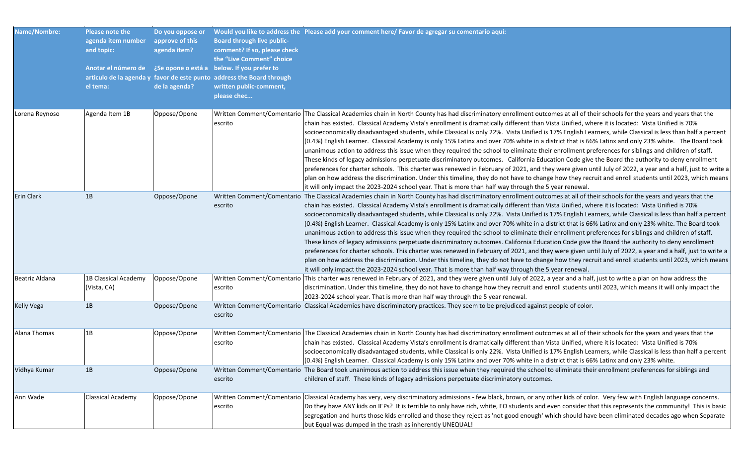| <b>Name/Nombre:</b> | Please note the<br>agenda item number<br>and topic:<br>Anotar el número de<br>articulo de la agenda y<br>el tema: | Do you oppose or<br>approve of this<br>agenda item?<br>de la agenda? | <b>Board through live public-</b><br>comment? If so, please check<br>the "Live Comment" choice<br>¿Se opone o está a below. If you prefer to<br>favor de este punto address the Board through<br>written public-comment,<br>please chec | Would you like to address the Please add your comment here/ Favor de agregar su comentario aquí:                                                                                                                                                                                                                                                                                                                                                                                                                                                                                                                                                                                                                                                                                                                                                                                                                                                                                                                                                                                                                                                                                                                                                                                                                                                                                          |
|---------------------|-------------------------------------------------------------------------------------------------------------------|----------------------------------------------------------------------|-----------------------------------------------------------------------------------------------------------------------------------------------------------------------------------------------------------------------------------------|-------------------------------------------------------------------------------------------------------------------------------------------------------------------------------------------------------------------------------------------------------------------------------------------------------------------------------------------------------------------------------------------------------------------------------------------------------------------------------------------------------------------------------------------------------------------------------------------------------------------------------------------------------------------------------------------------------------------------------------------------------------------------------------------------------------------------------------------------------------------------------------------------------------------------------------------------------------------------------------------------------------------------------------------------------------------------------------------------------------------------------------------------------------------------------------------------------------------------------------------------------------------------------------------------------------------------------------------------------------------------------------------|
| Lorena Reynoso      | Agenda Item 1B                                                                                                    | Oppose/Opone                                                         | escrito                                                                                                                                                                                                                                 | Written Comment/Comentario The Classical Academies chain in North County has had discriminatory enrollment outcomes at all of their schools for the years and years that the<br>chain has existed. Classical Academy Vista's enrollment is dramatically different than Vista Unified, where it is located: Vista Unified is 70%<br>socioeconomically disadvantaged students, while Classical is only 22%. Vista Unified is 17% English Learners, while Classical is less than half a percent<br>(0.4%) English Learner. Classical Academy is only 15% Latinx and over 70% white in a district that is 66% Latinx and only 23% white. The Board took<br>unanimous action to address this issue when they required the school to eliminate their enrollment preferences for siblings and children of staff.<br>These kinds of legacy admissions perpetuate discriminatory outcomes. California Education Code give the Board the authority to deny enrollment<br>preferences for charter schools. This charter was renewed in February of 2021, and they were given until July of 2022, a year and a half, just to write a<br>plan on how address the discrimination. Under this timeline, they do not have to change how they recruit and enroll students until 2023, which means<br>it will only impact the 2023-2024 school year. That is more than half way through the 5 year renewal. |
| Erin Clark          | 1B                                                                                                                | Oppose/Opone                                                         | escrito                                                                                                                                                                                                                                 | Written Comment/Comentario The Classical Academies chain in North County has had discriminatory enrollment outcomes at all of their schools for the years and years that the<br>chain has existed. Classical Academy Vista's enrollment is dramatically different than Vista Unified, where it is located: Vista Unified is 70%<br>socioeconomically disadvantaged students, while Classical is only 22%. Vista Unified is 17% English Learners, while Classical is less than half a percent<br>(0.4%) English Learner. Classical Academy is only 15% Latinx and over 70% white in a district that is 66% Latinx and only 23% white. The Board took<br>unanimous action to address this issue when they required the school to eliminate their enrollment preferences for siblings and children of staff.<br>These kinds of legacy admissions perpetuate discriminatory outcomes. California Education Code give the Board the authority to deny enrollment<br>preferences for charter schools. This charter was renewed in February of 2021, and they were given until July of 2022, a year and a half, just to write a<br>plan on how address the discrimination. Under this timeline, they do not have to change how they recruit and enroll students until 2023, which means<br>it will only impact the 2023-2024 school year. That is more than half way through the 5 year renewal. |
| Beatriz Aldana      | 1B Classical Academy<br>(Vista, CA)                                                                               | Oppose/Opone                                                         | escrito                                                                                                                                                                                                                                 | Written Comment/Comentario This charter was renewed in February of 2021, and they were given until July of 2022, a year and a half, just to write a plan on how address the<br>discrimination. Under this timeline, they do not have to change how they recruit and enroll students until 2023, which means it will only impact the<br>2023-2024 school year. That is more than half way through the 5 year renewal.                                                                                                                                                                                                                                                                                                                                                                                                                                                                                                                                                                                                                                                                                                                                                                                                                                                                                                                                                                      |
| Kelly Vega          | 1B                                                                                                                | Oppose/Opone                                                         | escrito                                                                                                                                                                                                                                 | Written Comment/Comentario Classical Academies have discriminatory practices. They seem to be prejudiced against people of color.                                                                                                                                                                                                                                                                                                                                                                                                                                                                                                                                                                                                                                                                                                                                                                                                                                                                                                                                                                                                                                                                                                                                                                                                                                                         |
| Alana Thomas        | 1B                                                                                                                | Oppose/Opone                                                         | escrito                                                                                                                                                                                                                                 | Written Comment/Comentario The Classical Academies chain in North County has had discriminatory enrollment outcomes at all of their schools for the years and years that the<br>chain has existed. Classical Academy Vista's enrollment is dramatically different than Vista Unified, where it is located: Vista Unified is 70%<br>socioeconomically disadvantaged students, while Classical is only 22%. Vista Unified is 17% English Learners, while Classical is less than half a percent<br>$\left  \text{(0.4%)} \right.$ English Learner. Classical Academy is only 15% Latinx and over 70% white in a district that is 66% Latinx and only 23% white.                                                                                                                                                                                                                                                                                                                                                                                                                                                                                                                                                                                                                                                                                                                              |
| Vidhya Kumar        | 1B                                                                                                                | Oppose/Opone                                                         | escrito                                                                                                                                                                                                                                 | Written Comment/Comentario The Board took unanimous action to address this issue when they required the school to eliminate their enrollment preferences for siblings and<br>children of staff. These kinds of legacy admissions perpetuate discriminatory outcomes.                                                                                                                                                                                                                                                                                                                                                                                                                                                                                                                                                                                                                                                                                                                                                                                                                                                                                                                                                                                                                                                                                                                      |
| Ann Wade            | <b>Classical Academy</b>                                                                                          | Oppose/Opone                                                         | escrito                                                                                                                                                                                                                                 | Written Comment/Comentario Classical Academy has very, very discriminatory admissions - few black, brown, or any other kids of color. Very few with English language concerns.<br>Do they have ANY kids on IEPs? It is terrible to only have rich, white, EO students and even consider that this represents the community! This is basic<br>segregation and hurts those kids enrolled and those they reject as 'not good enough' which should have been eliminated decades ago when Separate<br>but Equal was dumped in the trash as inherently UNEQUAL!                                                                                                                                                                                                                                                                                                                                                                                                                                                                                                                                                                                                                                                                                                                                                                                                                                 |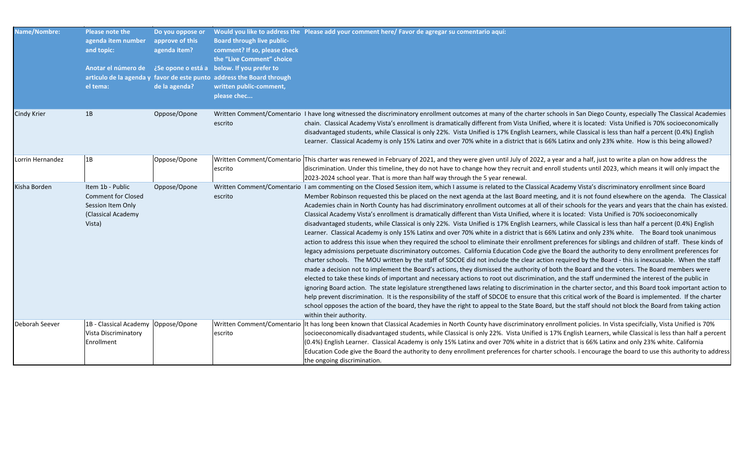| <b>Name/Nombre:</b> | Please note the<br>agenda item number<br>and topic:<br>Anotar el número de<br>el tema:             | Do you oppose or<br>approve of this<br>agenda item?<br>de la agenda? | <b>Board through live public-</b><br>comment? If so, please check<br>the "Live Comment" choice<br>¿Se opone o está a below. If you prefer to<br>articulo de la agenda y favor de este punto address the Board through<br>written public-comment,<br>please chec | Would you like to address the Please add your comment here/ Favor de agregar su comentario aquí:                                                                                                                                                                                                                                                                                                                                                                                                                                                                                                                                                                                                                                                                                                                                                                                                                                                                                                                                                                                                                                                                                                                                                                                                                                                                                                                                                                                                                                                                                                                                                                                                                                                                                                                                                                                                                                                                                                                                                                                                                                                                                                                                           |
|---------------------|----------------------------------------------------------------------------------------------------|----------------------------------------------------------------------|-----------------------------------------------------------------------------------------------------------------------------------------------------------------------------------------------------------------------------------------------------------------|--------------------------------------------------------------------------------------------------------------------------------------------------------------------------------------------------------------------------------------------------------------------------------------------------------------------------------------------------------------------------------------------------------------------------------------------------------------------------------------------------------------------------------------------------------------------------------------------------------------------------------------------------------------------------------------------------------------------------------------------------------------------------------------------------------------------------------------------------------------------------------------------------------------------------------------------------------------------------------------------------------------------------------------------------------------------------------------------------------------------------------------------------------------------------------------------------------------------------------------------------------------------------------------------------------------------------------------------------------------------------------------------------------------------------------------------------------------------------------------------------------------------------------------------------------------------------------------------------------------------------------------------------------------------------------------------------------------------------------------------------------------------------------------------------------------------------------------------------------------------------------------------------------------------------------------------------------------------------------------------------------------------------------------------------------------------------------------------------------------------------------------------------------------------------------------------------------------------------------------------|
| Cindy Krier         | 1B                                                                                                 | Oppose/Opone                                                         | escrito                                                                                                                                                                                                                                                         | Written Comment/Comentario I have long witnessed the discriminatory enrollment outcomes at many of the charter schools in San Diego County, especially The Classical Academies<br>chain. Classical Academy Vista's enrollment is dramatically different from Vista Unified, where it is located: Vista Unified is 70% socioeconomically<br>disadvantaged students, while Classical is only 22%. Vista Unified is 17% English Learners, while Classical is less than half a percent (0.4%) English<br>Learner. Classical Academy is only 15% Latinx and over 70% white in a district that is 66% Latinx and only 23% white. How is this being allowed?                                                                                                                                                                                                                                                                                                                                                                                                                                                                                                                                                                                                                                                                                                                                                                                                                                                                                                                                                                                                                                                                                                                                                                                                                                                                                                                                                                                                                                                                                                                                                                                      |
| Lorrin Hernandez    | 1B                                                                                                 | Oppose/Opone                                                         | escrito                                                                                                                                                                                                                                                         | Written Comment/Comentario This charter was renewed in February of 2021, and they were given until July of 2022, a year and a half, just to write a plan on how address the<br>discrimination. Under this timeline, they do not have to change how they recruit and enroll students until 2023, which means it will only impact the<br>2023-2024 school year. That is more than half way through the 5 year renewal.                                                                                                                                                                                                                                                                                                                                                                                                                                                                                                                                                                                                                                                                                                                                                                                                                                                                                                                                                                                                                                                                                                                                                                                                                                                                                                                                                                                                                                                                                                                                                                                                                                                                                                                                                                                                                       |
| Kisha Borden        | Item 1b - Public<br><b>Comment for Closed</b><br>Session Item Only<br>(Classical Academy<br>Vista) | Oppose/Opone                                                         | escrito                                                                                                                                                                                                                                                         | Written Comment/Comentario I am commenting on the Closed Session item, which I assume is related to the Classical Academy Vista's discriminatory enrollment since Board<br>Member Robinson requested this be placed on the next agenda at the last Board meeting, and it is not found elsewhere on the agenda. The Classical<br>Academies chain in North County has had discriminatory enrollment outcomes at all of their schools for the years and years that the chain has existed.<br>Classical Academy Vista's enrollment is dramatically different than Vista Unified, where it is located: Vista Unified is 70% socioeconomically<br>disadvantaged students, while Classical is only 22%. Vista Unified is 17% English Learners, while Classical is less than half a percent (0.4%) English<br>Learner. Classical Academy is only 15% Latinx and over 70% white in a district that is 66% Latinx and only 23% white. The Board took unanimous<br>action to address this issue when they required the school to eliminate their enrollment preferences for siblings and children of staff. These kinds of<br>legacy admissions perpetuate discriminatory outcomes. California Education Code give the Board the authority to deny enrollment preferences for<br>charter schools. The MOU written by the staff of SDCOE did not include the clear action required by the Board - this is inexcusable. When the staff<br>made a decision not to implement the Board's actions, they dismissed the authority of both the Board and the voters. The Board members were<br>elected to take these kinds of important and necessary actions to root out discrimination, and the staff undermined the interest of the public in<br>ignoring Board action. The state legislature strengthened laws relating to discrimination in the charter sector, and this Board took important action to<br>help prevent discrimination. It is the responsibility of the staff of SDCOE to ensure that this critical work of the Board is implemented. If the charter<br>school opposes the action of the board, they have the right to appeal to the State Board, but the staff should not block the Board from taking action<br>within their authority. |
| Deborah Seever      | 1B - Classical Academy   Oppose/Opone<br>Vista Discriminatory<br>Enrollment                        |                                                                      | escrito                                                                                                                                                                                                                                                         | Written Comment/Comentario It has long been known that Classical Academies in North County have discriminatory enrollment policies. In Vista specifcially, Vista Unified is 70%<br>socioeconomically disadvantaged students, while Classical is only 22%. Vista Unified is 17% English Learners, while Classical is less than half a percent<br>(0.4%) English Learner. Classical Academy is only 15% Latinx and over 70% white in a district that is 66% Latinx and only 23% white. California<br>Education Code give the Board the authority to deny enrollment preferences for charter schools. I encourage the board to use this authority to address<br>the ongoing discrimination.                                                                                                                                                                                                                                                                                                                                                                                                                                                                                                                                                                                                                                                                                                                                                                                                                                                                                                                                                                                                                                                                                                                                                                                                                                                                                                                                                                                                                                                                                                                                                   |